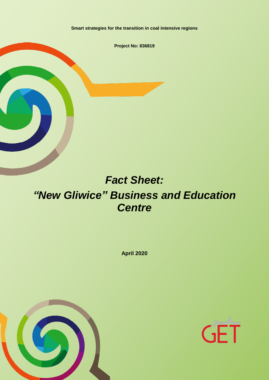**Smart strategies for the transition in coal intensive regions**

**Project No: 836819**

# *Fact Sheet: "New Gliwice" Business and Education Centre*

**April 2020**



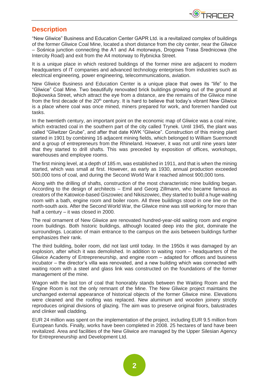

#### **Description**

"New Gliwice" Business and Education Center GAPR Ltd. is a revitalized complex of buildings of the former Gliwice Coal Mine, located a short distance from the city center, near the Gliwice – Sośnica junction connecting the A1 and A4 motorways, Drogowa Trasa Średnicowa (the Intercity Road) and exit from the A4 motorway to Rybnicka Street.

It is a unique place in which restored buildings of the former mine are adjacent to modern headquarters of IT companies and advanced technology enterprises from industries such as electrical engineering, power engineering, telecommunications, aviation.

New Gliwice Business and Education Center is a unique place that owes its "life" to the "Gliwice" Coal Mine. Two beautifully renovated brick buildings growing out of the ground at Bojkowska Street, which attract the eye from a distance, are the remains of the Gliwice mine from the first decade of the 20<sup>th</sup> century. It is hard to believe that today's vibrant New Gliwice is a place where coal was once mined, miners prepared for work, and foremen handed out tasks.

In the twentieth century, an important point on the economic map of Gliwice was a coal mine, which extracted coal in the southern part of the city called Trynek. Until 1945, the plant was called "Gliwitzer Grube", and after that date KWK "Gliwice". Construction of this mining plant started in 1901 by combining 16 adjacent mining fields, which belonged to William Suermondt and a group of entrepreneurs from the Rhineland. However, it was not until nine years later that they started to drill shafts. This was preceded by exposition of offices, workshops, warehouses and employee rooms.

The first mining level, at a depth of 185 m, was established in 1911, and that is when the mining started, which was small at first. However, as early as 1930, annual production exceeded 500,000 tons of coal, and during the Second World War it reached almost 900,000 tons.

Along with the drilling of shafts, construction of the most characteristic mine building began. According to the design of architects – Emil and Georg Zillmann, who became famous as creators of the Katowice-based Giszowiec and Nikiszowiec, they started to build a huge waiting room with a bath, engine room and boiler room. All three buildings stood in one line on the north-south axis. After the Second World War, the Gliwice mine was still working for more than half a century – it was closed in 2000.

The real ornament of New Gliwice are renovated hundred-year-old waiting room and engine room buildings. Both historic buildings, although located deep into the plot, dominate the surroundings. Location of main entrance to the campus on the axis between buildings further emphasizes their rank.

The third building, boiler room, did not last until today. In the 1950s it was damaged by an explosion, after which it was demolished. In addition to waiting room – headquarters of the Gliwice Academy of Entrepreneurship, and engine room – adapted for offices and business incubator – the director's villa was renovated, and a new building which was connected with waiting room with a steel and glass link was constructed on the foundations of the former management of the mine.

Wagon with the last ton of coal that honorably stands between the Waiting Room and the Engine Room is not the only remnant of the Mine. The New Gliwice project maintains the unchanged external appearance of historical objects of the former Gliwice mine. Elevations were cleaned and the roofing was replaced. New aluminum and wooden joinery strictly reproduces original divisions of glazing. The aim was to preserve original floors, balustrades and clinker wall cladding.

EUR 24 million was spent on the implementation of the project, including EUR 9.5 million from European funds. Finally, works have been completed in 2008. 25 hectares of land have been revitalized. Area and facilities of the New Gliwice are managed by the Upper Silesian Agency for Entrepreneurship and Development Ltd.

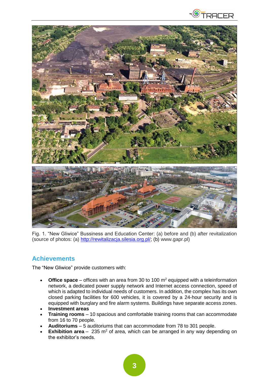



Fig. 1. "New Gliwice" Bussiness and Education Center: (a) before and (b) after revitalization (source of photos: (a) [http://rewitalizacja.silesia.org.pl/;](http://rewitalizacja.silesia.org.pl/) (b) www.gapr.pl)

## **Achievements**

The "New Gliwice" provide customers with:

- **Office space** offices with an area from 30 to 100 m<sup>2</sup> equipped with a teleinformation network, a dedicated power supply network and Internet access connection, speed of which is adapted to individual needs of customers. In addition, the complex has its own closed parking facilities for 600 vehicles, it is covered by a 24-hour security and is equipped with burglary and fire alarm systems. Buildings have separate access zones.
- **[Investment areas](https://gapr.pl/oferta/tereny-inwestycyjne/nowe-gliwice-centrum-edukacji-i-biznesu/)**
- **[Training rooms](https://gapr.pl/oferta/wynajem/sale-szkoleniowe-i-aule/gliwice/)** 10 spacious and comfortable training rooms that can accommodate from 16 to 70 people.
- **[Auditoriums](https://gapr.pl/oferta/wynajem/sale-szkoleniowe-i-aule/gliwice/)** 5 auditoriums that can accommodate from 78 to 301 people.
- **[Exhibition area](https://gapr.pl/oferta/wynajem/sale-szkoleniowe-i-aule/gliwice/sala-16/)** 235 m<sup>2</sup> of area, which can be arranged in any way depending on the exhibitor's needs.

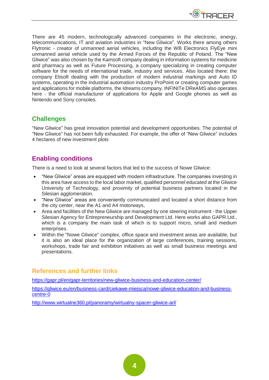

There are 45 modern, technologically advanced companies in the electronic, energy, telecommunications, IT and aviation industries in "New Gliwice". Works there among others Flytronic - creator of unmanned aerial vehicles, including the WB Electronics FlyEye mini unmanned aerial vehicle used by the Armed Forces of the Republic of Poland. The "New Gliwice" was also chosen by the Kamsoft company dealing in information systems for medicine and pharmacy as well as Future Processing, a company specializing in creating computer software for the needs of international trade, industry and services. Also located there: the company Etisoft dealing with the production of modern industrial markings and Auto ID systems, operating in the industrial automation industry ProPoint or creating computer games and applications for mobile platforms, the Idreams company. INFINITe DReAMS also operates here - the official manufacturer of applications for Apple and Google phones as well as Nintendo and Sony consoles.

### **Challenges**

"New Gliwice" has great innovation potential and development opportunities. The potential of "New Gliwice" has not been fully exhausted. For example, the offer of "New Gliwice" includes 4 hectares of new investment plots

## **Enabling conditions**

There is a need to look at several factors that led to the success of Nowe Gliwice:

- "New Gliwice" areas are equipped with modern infrastructure. The companies investing in this area have access to the local labor market, qualified personnel educated at the Gliwice University of Technology, and proximity of potential business partners located in the Silesian agglomeration.
- "New Gliwice" areas are conveniently communicated and located a short distance from the city center, near the A1 and A4 motorways,
- Area and facilities of the New Gliwice are managed by one steering instrument the Upper Silesian Agency for Entrepreneurship and Development Ltd. Here works also GAPR Ltd., which is a company the main task of which is to support micro, small and medium enterprises.
- Within the "Nowe Gliwice" complex, office space and investment areas are available, but it is also an ideal place for the organization of large conferences, training sessions, workshops, trade fair and exhibition initiatives as well as small business meetings and presentations.

## **References and further links**

<https://gapr.pl/en/gapr-territories/new-gliwice-business-and-education-center/>

[https://gliwice.eu/en/business-card/ciekawe-miejsca/nowe-gliwice-education-and-business](https://gliwice.eu/en/business-card/ciekawe-miejsca/nowe-gliwice-education-and-business-centre-0)[centre-0](https://gliwice.eu/en/business-card/ciekawe-miejsca/nowe-gliwice-education-and-business-centre-0)

<http://www.wirtualne360.pl/panoramy/wirtualny-spacer-gliwice-arl/>